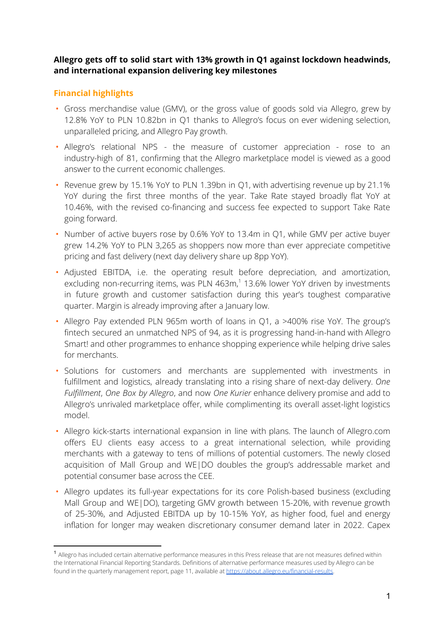# **Allegro gets off to solid start with 13% growth in Q1 against lockdown headwinds, and international expansion delivering key milestones**

# **Financial highlights**

- Gross merchandise value (GMV), or the gross value of goods sold via Allegro, grew by 12.8% YoY to PLN 10.82bn in Q1 thanks to Allegro's focus on ever widening selection, unparalleled pricing, and Allegro Pay growth.
- Allegro's relational NPS the measure of customer appreciation rose to an industry-high of 81, confirming that the Allegro marketplace model is viewed as a good answer to the current economic challenges.
- Revenue grew by 15.1% YoY to PLN 1.39bn in Q1, with advertising revenue up by 21.1% YoY during the first three months of the year. Take Rate stayed broadly flat YoY at 10.46%, with the revised co-financing and success fee expected to support Take Rate going forward.
- Number of active buyers rose by 0.6% YoY to 13.4m in Q1, while GMV per active buyer grew 14.2% YoY to PLN 3,265 as shoppers now more than ever appreciate competitive pricing and fast delivery (next day delivery share up 8pp YoY).
- Adjusted EBITDA, i.e. the operating result before depreciation, and amortization, excluding non-recurring items, was PLN 463m,<sup>1</sup> 13.6% lower YoY driven by investments in future growth and customer satisfaction during this year's toughest comparative quarter. Margin is already improving after a January low.
- Allegro Pay extended PLN 965m worth of loans in Q1, a >400% rise YoY. The group's fintech secured an unmatched NPS of 94, as it is progressing hand-in-hand with Allegro Smart! and other programmes to enhance shopping experience while helping drive sales for merchants.
- Solutions for customers and merchants are supplemented with investments in fulfillment and logistics, already translating into a rising share of next-day delivery. *One Fulfillment*, *One Box by Allegro*, and now *One Kurier* enhance delivery promise and add to Allegro's unrivaled marketplace offer, while complimenting its overall asset-light logistics model.
- Allegro kick-starts international expansion in line with plans. The launch of Allegro.com offers EU clients easy access to a great international selection, while providing merchants with a gateway to tens of millions of potential customers. The newly closed acquisition of Mall Group and WE|DO doubles the group's addressable market and potential consumer base across the CEE.
- Allegro updates its full-year expectations for its core Polish-based business (excluding Mall Group and WE|DO), targeting GMV growth between 15-20%, with revenue growth of 25-30%, and Adjusted EBITDA up by 10-15% YoY, as higher food, fuel and energy inflation for longer may weaken discretionary consumer demand later in 2022. Capex

<sup>1</sup> Allegro has included certain alternative performance measures in this Press release that are not measures defined within the International Financial Reporting Standards. Definitions of alternative performance measures used by Allegro can be found in the quarterly management report, page 11, available at <https://about.allegro.eu/financial-results>.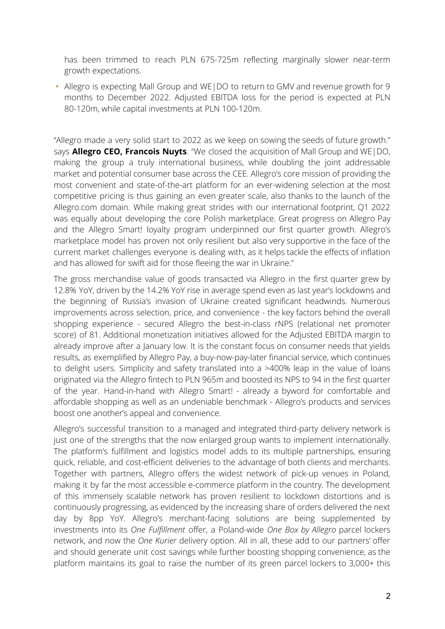has been trimmed to reach PLN 675-725m reflecting marginally slower near-term growth expectations.

• Allegro is expecting Mall Group and WE|DO to return to GMV and revenue growth for 9 months to December 2022. Adjusted EBITDA loss for the period is expected at PLN 80-120m, while capital investments at PLN 100-120m.

"Allegro made a very solid start to 2022 as we keep on sowing the seeds of future growth." says **Allegro CEO, Francois Nuyts**. "We closed the acquisition of Mall Group and WE|DO, making the group a truly international business, while doubling the joint addressable market and potential consumer base across the CEE. Allegro's core mission of providing the most convenient and state-of-the-art platform for an ever-widening selection at the most competitive pricing is thus gaining an even greater scale, also thanks to the launch of the Allegro.com domain. While making great strides with our international footprint, Q1 2022 was equally about developing the core Polish marketplace. Great progress on Allegro Pay and the Allegro Smart! loyalty program underpinned our first quarter growth. Allegro's marketplace model has proven not only resilient but also very supportive in the face of the current market challenges everyone is dealing with, as it helps tackle the effects of inflation and has allowed for swift aid for those fleeing the war in Ukraine."

The gross merchandise value of goods transacted via Allegro in the first quarter grew by 12.8% YoY, driven by the 14.2% YoY rise in average spend even as last year's lockdowns and the beginning of Russia's invasion of Ukraine created significant headwinds. Numerous improvements across selection, price, and convenience - the key factors behind the overall shopping experience - secured Allegro the best-in-class rNPS (relational net promoter score) of 81. Additional monetization initiatives allowed for the Adjusted EBITDA margin to already improve after a January low. It is the constant focus on consumer needs that yields results, as exemplified by Allegro Pay, a buy-now-pay-later financial service, which continues to delight users. Simplicity and safety translated into a >400% leap in the value of loans originated via the Allegro fintech to PLN 965m and boosted its NPS to 94 in the first quarter of the year. Hand-in-hand with Allegro Smart! - already a byword for comfortable and affordable shopping as well as an undeniable benchmark - Allegro's products and services boost one another's appeal and convenience.

Allegro's successful transition to a managed and integrated third-party delivery network is just one of the strengths that the now enlarged group wants to implement internationally. The platform's fulfillment and logistics model adds to its multiple partnerships, ensuring quick, reliable, and cost-efficient deliveries to the advantage of both clients and merchants. Together with partners, Allegro offers the widest network of pick-up venues in Poland, making it by far the most accessible e-commerce platform in the country. The development of this immensely scalable network has proven resilient to lockdown distortions and is continuously progressing, as evidenced by the increasing share of orders delivered the next day by 8pp YoY. Allegro's merchant-facing solutions are being supplemented by investments into its *One Fulfillment* offer, a Poland-wide *One Box by Allegro* parcel lockers network, and now the *One Kurier* delivery option. All in all, these add to our partners' offer and should generate unit cost savings while further boosting shopping convenience, as the platform maintains its goal to raise the number of its green parcel lockers to 3,000+ this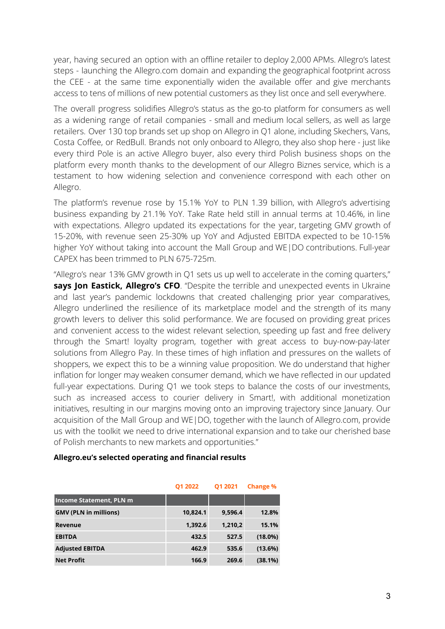year, having secured an option with an offline retailer to deploy 2,000 APMs. Allegro's latest steps - launching the Allegro.com domain and expanding the geographical footprint across the CEE - at the same time exponentially widen the available offer and give merchants access to tens of millions of new potential customers as they list once and sell everywhere.

The overall progress solidifies Allegro's status as the go-to platform for consumers as well as a widening range of retail companies - small and medium local sellers, as well as large retailers. Over 130 top brands set up shop on Allegro in Q1 alone, including Skechers, Vans, Costa Coffee, or RedBull. Brands not only onboard to Allegro, they also shop here - just like every third Pole is an active Allegro buyer, also every third Polish business shops on the platform every month thanks to the development of our Allegro Biznes service, which is a testament to how widening selection and convenience correspond with each other on Allegro.

The platform's revenue rose by 15.1% YoY to PLN 1.39 billion, with Allegro's advertising business expanding by 21.1% YoY. Take Rate held still in annual terms at 10.46%, in line with expectations. Allegro updated its expectations for the year, targeting GMV growth of 15-20%, with revenue seen 25-30% up YoY and Adjusted EBITDA expected to be 10-15% higher YoY without taking into account the Mall Group and WE|DO contributions. Full-year CAPEX has been trimmed to PLN 675-725m.

"Allegro's near 13% GMV growth in Q1 sets us up well to accelerate in the coming quarters," **says Jon Eastick, Allegro's CFO**. "Despite the terrible and unexpected events in Ukraine and last year's pandemic lockdowns that created challenging prior year comparatives, Allegro underlined the resilience of its marketplace model and the strength of its many growth levers to deliver this solid performance. We are focused on providing great prices and convenient access to the widest relevant selection, speeding up fast and free delivery through the Smart! loyalty program, together with great access to buy-now-pay-later solutions from Allegro Pay. In these times of high inflation and pressures on the wallets of shoppers, we expect this to be a winning value proposition. We do understand that higher inflation for longer may weaken consumer demand, which we have reflected in our updated full-year expectations. During Q1 we took steps to balance the costs of our investments, such as increased access to courier delivery in Smart!, with additional monetization initiatives, resulting in our margins moving onto an improving trajectory since January. Our acquisition of the Mall Group and WE|DO, together with the launch of Allegro.com, provide us with the toolkit we need to drive international expansion and to take our cherished base of Polish merchants to new markets and opportunities."

#### **Allegro.eu's selected operating and financial results**

|                                | Q1 2022  | Q1 2021 | <b>Change %</b> |
|--------------------------------|----------|---------|-----------------|
| <b>Income Statement, PLN m</b> |          |         |                 |
| <b>GMV (PLN in millions)</b>   | 10.824.1 | 9.596.4 | 12.8%           |
| Revenue                        | 1,392.6  | 1,210,2 | 15.1%           |
| <b>EBITDA</b>                  | 432.5    | 527.5   | $(18.0\%)$      |
| <b>Adjusted EBITDA</b>         | 462.9    | 535.6   | (13.6%)         |
| <b>Net Profit</b>              | 166.9    | 269.6   | (38.1%)         |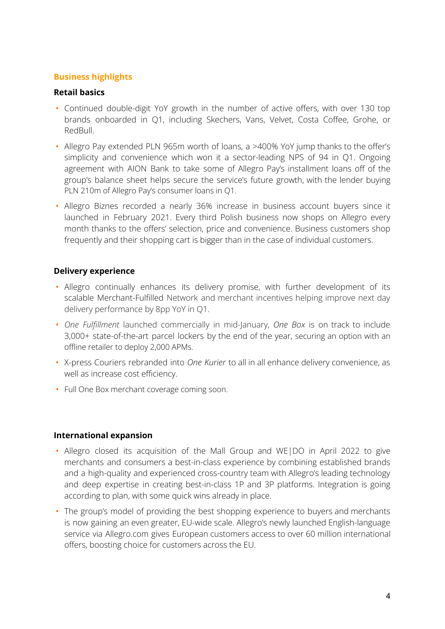### **Business highlights**

### **Retail basics**

- Continued double-digit YoY growth in the number of active offers, with over 130 top brands onboarded in Q1, including Skechers, Vans, Velvet, Costa Coffee, Grohe, or RedBull.
- Allegro Pay extended PLN 965m worth of loans, a >400% YoY jump thanks to the offer's simplicity and convenience which won it a sector-leading NPS of 94 in Q1. Ongoing agreement with AION Bank to take some of Allegro Pay's installment loans off of the group's balance sheet helps secure the service's future growth, with the lender buying PLN 210m of Allegro Pay's consumer loans in Q1.
- Allegro Biznes recorded a nearly 36% increase in business account buyers since it launched in February 2021. Every third Polish business now shops on Allegro every month thanks to the offers' selection, price and convenience. Business customers shop frequently and their shopping cart is bigger than in the case of individual customers.

## **Delivery experience**

- Allegro continually enhances its delivery promise, with further development of its scalable Merchant-Fulfilled Network and merchant incentives helping improve next day delivery performance by 8pp YoY in Q1.
- *One Fulfillment* launched commercially in mid-January, *One Box* is on track to include 3,000+ state-of-the-art parcel lockers by the end of the year, securing an option with an offline retailer to deploy 2,000 APMs.
- X-press Couriers rebranded into *One Kurier* to all in all enhance delivery convenience, as well as increase cost efficiency.
- Full One Box merchant coverage coming soon.

### **International expansion**

- Allegro closed its acquisition of the Mall Group and WE|DO in April 2022 to give merchants and consumers a best-in-class experience by combining established brands and a high-quality and experienced cross-country team with Allegro's leading technology and deep expertise in creating best-in-class 1P and 3P platforms. Integration is going according to plan, with some quick wins already in place.
- The group's model of providing the best shopping experience to buyers and merchants is now gaining an even greater, EU-wide scale. Allegro's newly launched English-language service via Allegro.com gives European customers access to over 60 million international offers, boosting choice for customers across the EU.